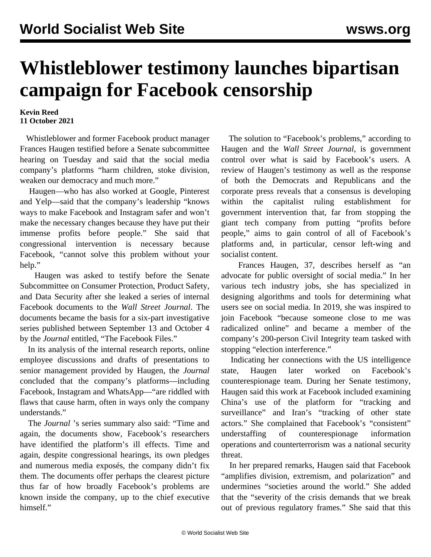## **Whistleblower testimony launches bipartisan campaign for Facebook censorship**

## **Kevin Reed 11 October 2021**

 Whistleblower and former Facebook product manager Frances Haugen testified before a Senate subcommittee hearing on Tuesday and said that the social media company's platforms "harm children, stoke division, weaken our democracy and much more."

 Haugen—who has also worked at Google, Pinterest and Yelp—said that the company's leadership "knows ways to make Facebook and Instagram safer and won't make the necessary changes because they have put their immense profits before people." She said that congressional intervention is necessary because Facebook, "cannot solve this problem without your help."

 Haugen was asked to testify before the Senate Subcommittee on Consumer Protection, Product Safety, and Data Security after she leaked a series of internal Facebook documents to the *Wall Street Journal*. The documents became the basis for a six-part investigative series published between September 13 and October 4 by the *Journal* entitled, "The Facebook Files."

 In its analysis of the internal research reports, online employee discussions and drafts of presentations to senior management provided by Haugen, the *Journal* concluded that the company's platforms—including Facebook, Instagram and WhatsApp—"are riddled with flaws that cause harm, often in ways only the company understands."

 The *Journal* 's series summary also said: "Time and again, the documents show, Facebook's researchers have identified the platform's ill effects. Time and again, despite congressional hearings, its own pledges and numerous media exposés, the company didn't fix them. The documents offer perhaps the clearest picture thus far of how broadly Facebook's problems are known inside the company, up to the chief executive himself."

 The solution to "Facebook's problems," according to Haugen and the *Wall Street Journal*, is government control over what is said by Facebook's users. A review of Haugen's testimony as well as the response of both the Democrats and Republicans and the corporate press reveals that a consensus is developing within the capitalist ruling establishment for government intervention that, far from stopping the giant tech company from putting "profits before people," aims to gain control of all of Facebook's platforms and, in particular, censor left-wing and socialist content.

 Frances Haugen, 37, describes herself as "an advocate for public oversight of social media." In her various tech industry jobs, she has specialized in designing algorithms and tools for determining what users see on social media. In 2019, she was inspired to join Facebook "because someone close to me was radicalized online" and became a member of the company's 200-person Civil Integrity team tasked with stopping "election interference."

 Indicating her connections with the US intelligence state, Haugen later worked on Facebook's counterespionage team. During her Senate testimony, Haugen said this work at Facebook included examining China's use of the platform for "tracking and surveillance" and Iran's "tracking of other state actors." She complained that Facebook's "consistent" understaffing of counterespionage information operations and counterterrorism was a national security threat.

 In her prepared remarks, Haugen said that Facebook "amplifies division, extremism, and polarization" and undermines "societies around the world." She added that the "severity of the crisis demands that we break out of previous regulatory frames." She said that this